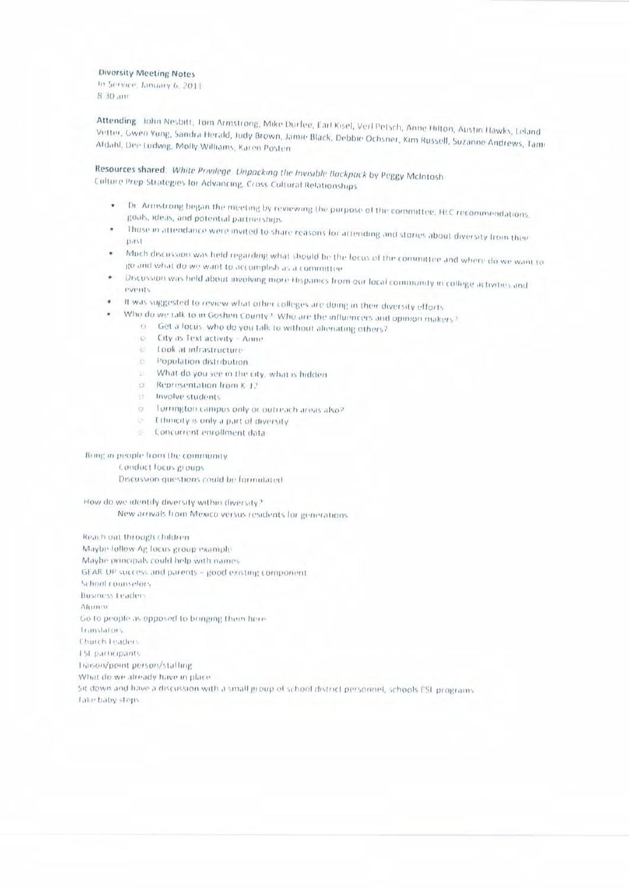**Diversity Meeting Notes** 

In Service, January 6, 2011 8:30 am

Attending John Nesbitt, Tom Armstrong, Mike Durfee, Earl Kisel, Verl Petsch, Anne Hilton, Austin Hawks, Leland Vetter, Gwen Yung, Sandra Herald, Judy Brown, Jamie Black, Debbie Ochsner, Kim Russell, Suzanne Andrews, Tami Aldahl, Dee Ludwig, Molly Williams, Karen Posten

Resources shared: White Privilege. Unpacking the Invisible Backpack by Peggy McIntosh Culture Prep-Strategies for Advancing, Cross-Cultural Relationships

- . Dr. Armstrong began the meeting by reviewing the purpose of the committee. HLC recommendations, goals, ideas, and potential partnerships
- Those in attendance were invited to share reasons for attending and stories about diversity from their  $n \pi t$
- Much discussion was held regarding what should be the locus of the committee and where do we want to ٠ go and what do we want to accomplish as a committive
- Discussion was held about involving more Hispanics from our local community in college activities and **PVPHIts**
- It was suggested to review what other colleges are doing in their diversity efforts  $\bullet$ 
	- Who do we talk to in Goshen County? Who are the influencers and opinion makers?
		- o Get a focus, who do you talk to without alienating others?
		- $\mathbb{C}$ City as Text activity - Anne
		- c took at infrastructure
		- e Population distribution
		- U What do you see in the city, what is hidden
		- o Representation from K-12
		- the Involve students
		- o Torrington campus only or outreach areas also?
		- o Ethnicity is only a part of diversity
		- Concurrent enrollment data

#### Bring in people from the community

Conduct focus groups.

Discussion questions could be formulated

How do we identify diversity within diversity? New arrivals from Mexico versus residents for generations

Reach out through children. Maybe follow Ag focus group example Maybe principals could help with names GEAR UP success and parents - good existing component School counselors **Business Leaders** Alumni Go to people as opposed to bringing them here. translators Church Leaders **ESL participants** Traison/point person/staffing What do we already have in place. Sit down and have a discussion with a small group of school district personnel, schools ESL programs **Take baby steps**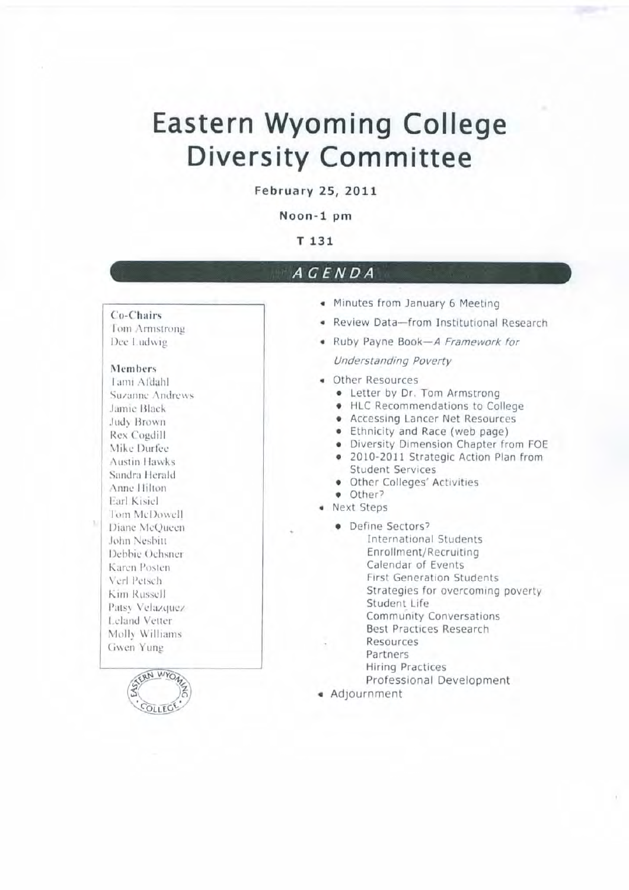# **Eastern Wyoming College Diversity Committee**

**February 25, 2011** 

Noon-1 pm

### T 131

## ACENDA

Co-Chairs Tom Armstrong Dee Ludwig

#### Members

Tami Afdahl Suzanne Andrews Jamic Black Judy Brown Rex Cogdill Mike Durfee **Austin Hawks** Sandra Herald Anne Hilton Earl Kisiel Tom McDowell Diane McQueen John Nesbitt Debbie Ochsner Karen Posten Verl Petsch Kim Russell Patsy Velazquez Leland Vetter Molly Williams Gwen Yung



- « Minutes from January 6 Meeting
- · Review Data-from Institutional Research
- . Ruby Payne Book-A Framework for **Understanding Poverty**
- Other Resources
	- Letter by Dr. Tom Armstrong
	- HLC Recommendations to College
	- Accessing Lancer Net Resources
	- Ethnicity and Race (web page)
	- · Diversity Dimension Chapter from FOE
	- · 2010-2011 Strategic Action Plan from **Student Services**
	- · Other Colleges' Activities
	- · Other?
- · Next Steps
	- · Define Sectors? **International Students** Enrollment/Recruiting Calendar of Events **First Generation Students** Strategies for overcoming poverty Student Life **Community Conversations** Best Practices Research Resources Partners **Hiring Practices** Professional Development
- « Adjournment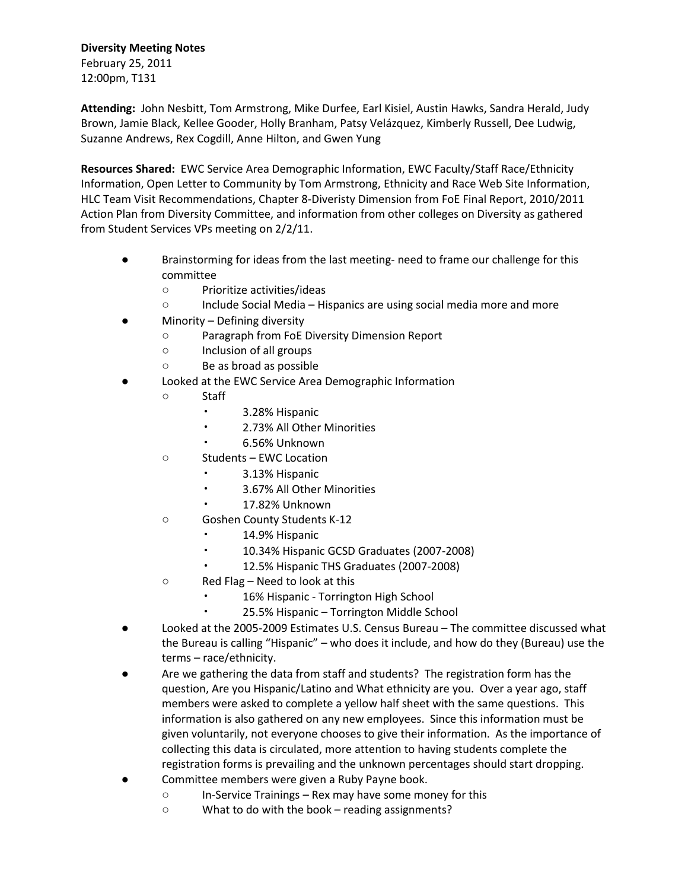#### **Diversity Meeting Notes**

February 25, 2011 12:00pm, T131

**Attending:** John Nesbitt, Tom Armstrong, Mike Durfee, Earl Kisiel, Austin Hawks, Sandra Herald, Judy Brown, Jamie Black, Kellee Gooder, Holly Branham, Patsy Velázquez, Kimberly Russell, Dee Ludwig, Suzanne Andrews, Rex Cogdill, Anne Hilton, and Gwen Yung

**Resources Shared:** EWC Service Area Demographic Information, EWC Faculty/Staff Race/Ethnicity Information, Open Letter to Community by Tom Armstrong, Ethnicity and Race Web Site Information, HLC Team Visit Recommendations, Chapter 8-Diveristy Dimension from FoE Final Report, 2010/2011 Action Plan from Diversity Committee, and information from other colleges on Diversity as gathered from Student Services VPs meeting on 2/2/11.

- Brainstorming for ideas from the last meeting- need to frame our challenge for this committee
	- Prioritize activities/ideas
	- Include Social Media Hispanics are using social media more and more
- Minority Defining diversity
	- Paragraph from FoE Diversity Dimension Report
	- Inclusion of all groups
	- Be as broad as possible
- Looked at the EWC Service Area Demographic Information
	- Staff
		- 3.28% Hispanic
		- 2.73% All Other Minorities
		- 6.56% Unknown
	- Students EWC Location
		- 3.13% Hispanic
		- 3.67% All Other Minorities
		- 17.82% Unknown
	- Goshen County Students K-12
		- 14.9% Hispanic
		- 10.34% Hispanic GCSD Graduates (2007-2008)
		- 12.5% Hispanic THS Graduates (2007-2008)
	- Red Flag Need to look at this
		- 16% Hispanic Torrington High School
		- 25.5% Hispanic Torrington Middle School
- Looked at the 2005-2009 Estimates U.S. Census Bureau The committee discussed what the Bureau is calling "Hispanic" – who does it include, and how do they (Bureau) use the terms – race/ethnicity.
- Are we gathering the data from staff and students? The registration form has the question, Are you Hispanic/Latino and What ethnicity are you. Over a year ago, staff members were asked to complete a yellow half sheet with the same questions. This information is also gathered on any new employees. Since this information must be given voluntarily, not everyone chooses to give their information. As the importance of collecting this data is circulated, more attention to having students complete the registration forms is prevailing and the unknown percentages should start dropping.
- Committee members were given a Ruby Payne book.
	- In-Service Trainings Rex may have some money for this
	- What to do with the book reading assignments?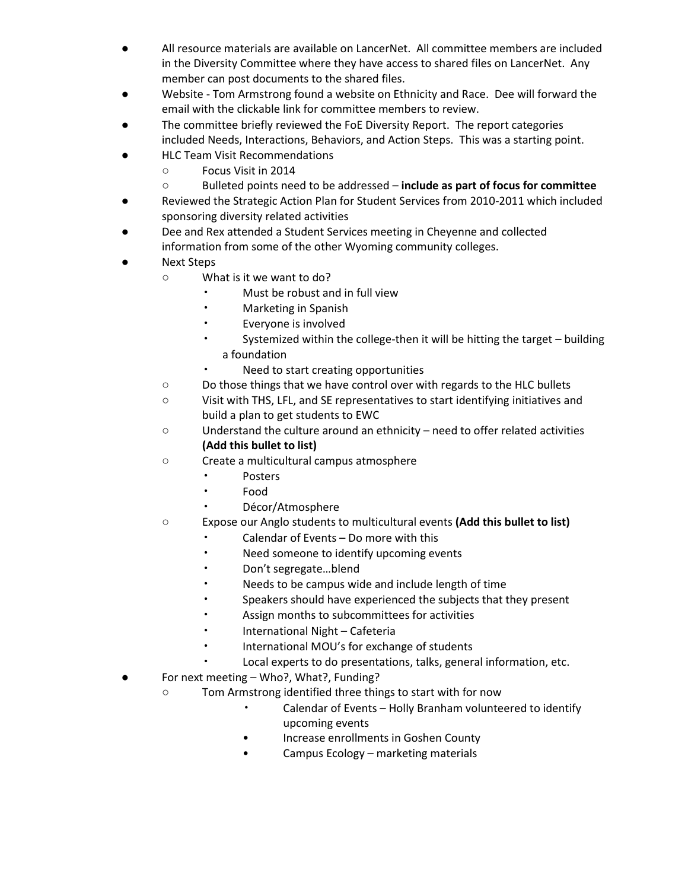- All resource materials are available on LancerNet. All committee members are included in the Diversity Committee where they have access to shared files on LancerNet. Any member can post documents to the shared files.
- Website Tom Armstrong found a website on Ethnicity and Race. Dee will forward the email with the clickable link for committee members to review.
- The committee briefly reviewed the FoE Diversity Report. The report categories included Needs, Interactions, Behaviors, and Action Steps. This was a starting point.
- **HLC Team Visit Recommendations** 
	- Focus Visit in 2014
	- Bulleted points need to be addressed **include as part of focus for committee**
- Reviewed the Strategic Action Plan for Student Services from 2010-2011 which included sponsoring diversity related activities
- Dee and Rex attended a Student Services meeting in Cheyenne and collected information from some of the other Wyoming community colleges.
- **Next Steps** 
	- What is it we want to do?
		- Must be robust and in full view
		- Marketing in Spanish
		- Everyone is involved
		- Systemized within the college-then it will be hitting the target building a foundation
		- Need to start creating opportunities
	- Do those things that we have control over with regards to the HLC bullets
	- Visit with THS, LFL, and SE representatives to start identifying initiatives and build a plan to get students to EWC
	- Understand the culture around an ethnicity need to offer related activities **(Add this bullet to list)**
	- **○** Create a multicultural campus atmosphere
		- **Posters**
		- Food
		- Décor/Atmosphere
	- Expose our Anglo students to multicultural events **(Add this bullet to list)**
		- Calendar of Events Do more with this
		- Need someone to identify upcoming events
		- Don't segregate…blend
		- Needs to be campus wide and include length of time
		- Speakers should have experienced the subjects that they present
		- Assign months to subcommittees for activities
		- International Night Cafeteria
		- International MOU's for exchange of students
		- Local experts to do presentations, talks, general information, etc.
- For next meeting Who?, What?, Funding?
	- Tom Armstrong identified three things to start with for now
		- Calendar of Events Holly Branham volunteered to identify upcoming events
		- Increase enrollments in Goshen County
		- Campus Ecology marketing materials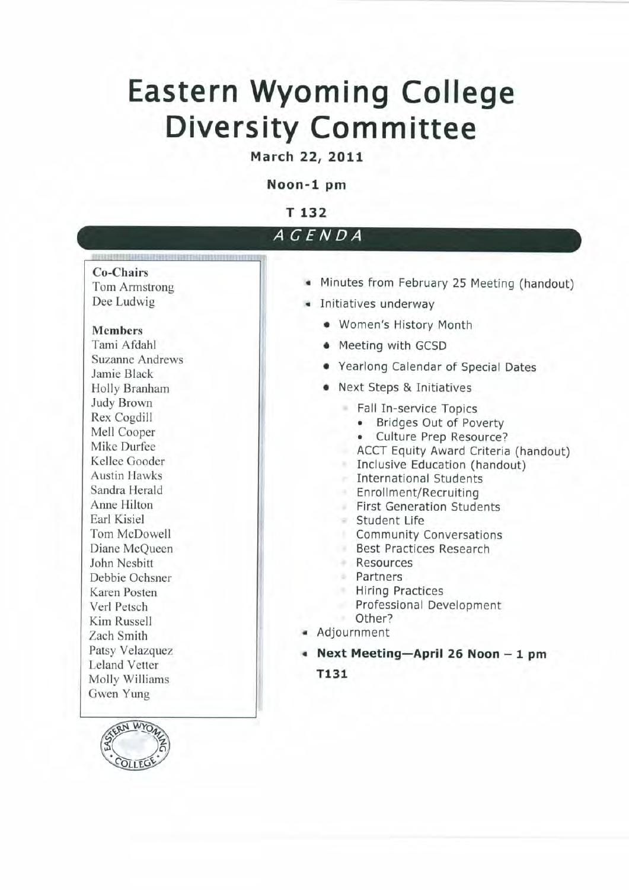# **Eastern Wyoming College Diversity Committee**

March 22, 2011

## Noon-1 pm

T 132

| <i>AGENDA</i> |  |  |
|---------------|--|--|
|               |  |  |

#### **Co-Chairs**

**Tom Armstrong** Dee Ludwig

### **Members**

Tami Afdahl **Suzanne Andrews** Jamie Black Holly Branham **Judy Brown** Rex Cogdill Mell Cooper Mike Durfee Kellee Gooder **Austin Hawks** Sandra Herald Anne Hilton Earl Kisiel Tom McDowell Diane McQueen John Nesbitt Debbie Ochsner Karen Posten Verl Petsch Kim Russell Zach Smith Patsy Velazquez **Leland Vetter** Molly Williams Gwen Yung



- Minutes from February 25 Meeting (handout)
- · Initiatives underway
	- Women's History Month
	- Meeting with GCSD
	- Yearlong Calendar of Special Dates
	- Next Steps & Initiatives
		- Fall In-service Topics
			- Bridges Out of Poverty
			- Culture Prep Resource?
			- ACCT Equity Award Criteria (handout)
		- Inclusive Education (handout)
		- **International Students**
		- Enrollment/Recruiting
		- First Generation Students
		- Student Life
		- **Community Conversations**
		- Best Practices Research
		- Resources
		- Partners
		- **Hiring Practices**
		- Professional Development
		- Other?
- Adjournment
- Next Meeting-April 26 Noon 1 pm
	- T131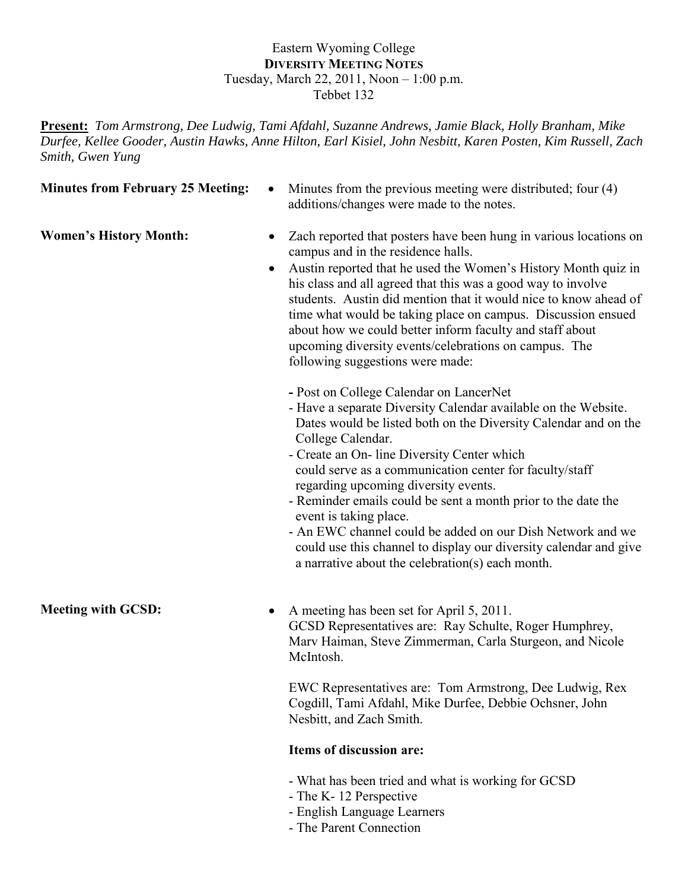### Eastern Wyoming College **DIVERSITY MEETING NOTES** Tuesday, March 22, 2011, Noon – 1:00 p.m. Tebbet 132

**Present:** *Tom Armstrong, Dee Ludwig, Tami Afdahl, Suzanne Andrews, Jamie Black, Holly Branham, Mike Durfee, Kellee Gooder, Austin Hawks, Anne Hilton, Earl Kisiel, John Nesbitt, Karen Posten, Kim Russell, Zach Smith, Gwen Yung*

**Minutes from February 25 Meeting:**  $\bullet$  Minutes from the previous meeting were distributed; four (4) additions/changes were made to the notes.

- Women's History Month: Zach reported that posters have been hung in various locations on campus and in the residence halls.
	- Austin reported that he used the Women's History Month quiz in his class and all agreed that this was a good way to involve students. Austin did mention that it would nice to know ahead of time what would be taking place on campus. Discussion ensued about how we could better inform faculty and staff about upcoming diversity events/celebrations on campus. The following suggestions were made:
		- **-** Post on College Calendar on LancerNet
		- Have a separate Diversity Calendar available on the Website. Dates would be listed both on the Diversity Calendar and on the College Calendar.
		- Create an On- line Diversity Center which could serve as a communication center for faculty/staff regarding upcoming diversity events.
		- Reminder emails could be sent a month prior to the date the event is taking place.
		- An EWC channel could be added on our Dish Network and we could use this channel to display our diversity calendar and give a narrative about the celebration(s) each month.
- **Meeting with GCSD:** A meeting has been set for April 5, 2011. GCSD Representatives are: Ray Schulte, Roger Humphrey, Marv Haiman, Steve Zimmerman, Carla Sturgeon, and Nicole McIntosh.

EWC Representatives are: Tom Armstrong, Dee Ludwig, Rex Cogdill, Tami Afdahl, Mike Durfee, Debbie Ochsner, John Nesbitt, and Zach Smith.

#### **Items of discussion are:**

- What has been tried and what is working for GCSD
- The K- 12 Perspective
- English Language Learners
- The Parent Connection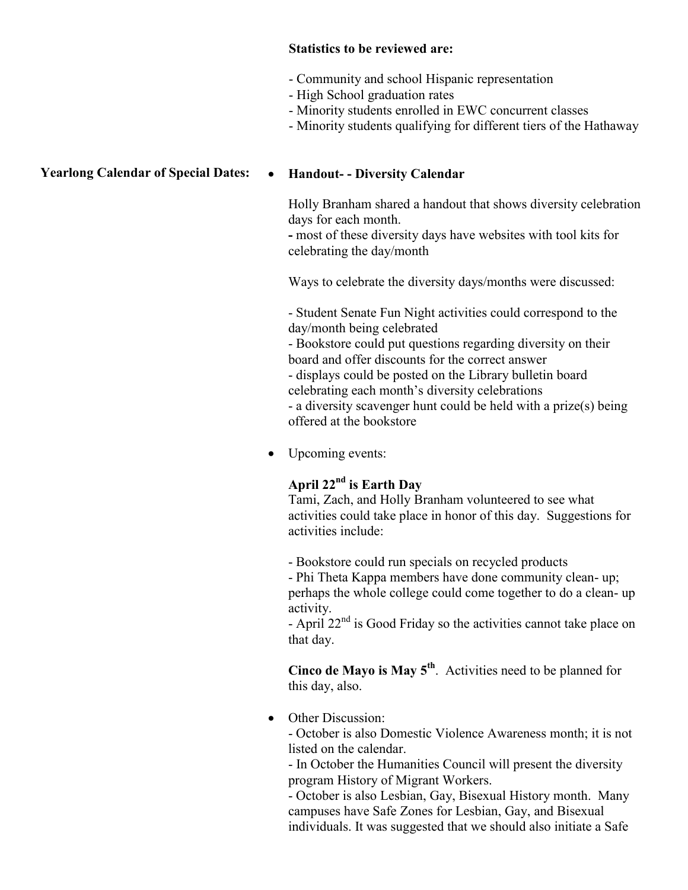### **Statistics to be reviewed are:**

- Community and school Hispanic representation
- High School graduation rates
- Minority students enrolled in EWC concurrent classes
- Minority students qualifying for different tiers of the Hathaway

### **Yearlong Calendar of Special Dates: • Handout- - Diversity Calendar**

Holly Branham shared a handout that shows diversity celebration days for each month.

**-** most of these diversity days have websites with tool kits for celebrating the day/month

Ways to celebrate the diversity days/months were discussed:

- Student Senate Fun Night activities could correspond to the day/month being celebrated

- Bookstore could put questions regarding diversity on their board and offer discounts for the correct answer

- displays could be posted on the Library bulletin board celebrating each month's diversity celebrations

- a diversity scavenger hunt could be held with a prize(s) being offered at the bookstore

• Upcoming events:

## **April 22nd is Earth Day**

Tami, Zach, and Holly Branham volunteered to see what activities could take place in honor of this day. Suggestions for activities include:

- Bookstore could run specials on recycled products

- Phi Theta Kappa members have done community clean- up; perhaps the whole college could come together to do a clean- up activity.

- April 22<sup>nd</sup> is Good Friday so the activities cannot take place on that day.

**Cinco de Mayo is May 5th**. Activities need to be planned for this day, also.

• Other Discussion:

- October is also Domestic Violence Awareness month; it is not listed on the calendar.

- In October the Humanities Council will present the diversity program History of Migrant Workers.

- October is also Lesbian, Gay, Bisexual History month. Many campuses have Safe Zones for Lesbian, Gay, and Bisexual individuals. It was suggested that we should also initiate a Safe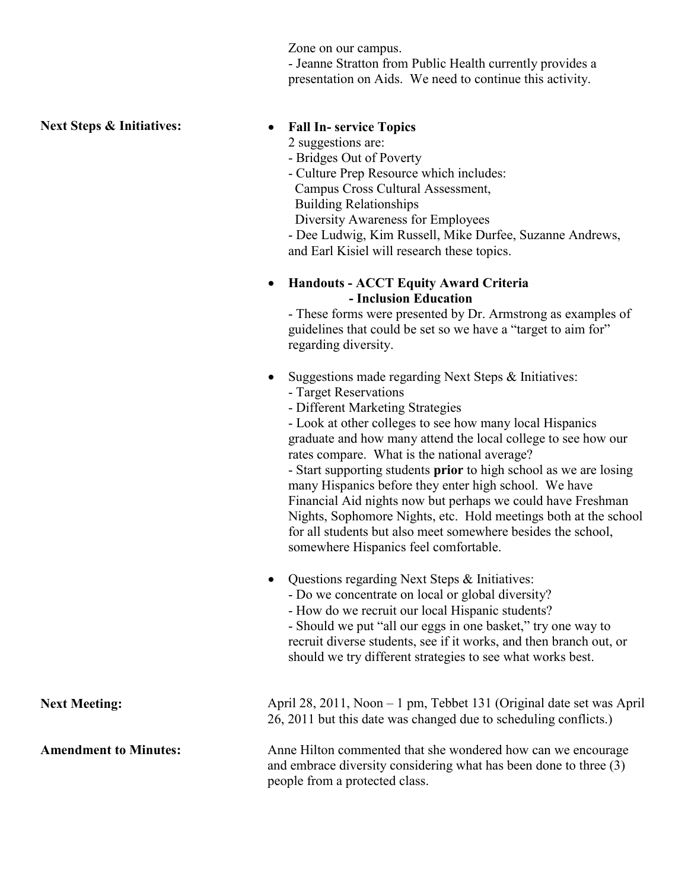Zone on our campus.

- Jeanne Stratton from Public Health currently provides a presentation on Aids. We need to continue this activity.

### **Next Steps & Initiatives:**  $\bullet$  **Fall In-** service Topics

- 2 suggestions are:
- Bridges Out of Poverty
- Culture Prep Resource which includes: Campus Cross Cultural Assessment,
- Building Relationships
- Diversity Awareness for Employees
- Dee Ludwig, Kim Russell, Mike Durfee, Suzanne Andrews, and Earl Kisiel will research these topics.

#### **Handouts - ACCT Equity Award Criteria - Inclusion Education**

- These forms were presented by Dr. Armstrong as examples of guidelines that could be set so we have a "target to aim for" regarding diversity.

- Suggestions made regarding Next Steps & Initiatives:
	- Target Reservations
	- Different Marketing Strategies

- Look at other colleges to see how many local Hispanics graduate and how many attend the local college to see how our rates compare. What is the national average?

- Start supporting students **prior** to high school as we are losing many Hispanics before they enter high school. We have Financial Aid nights now but perhaps we could have Freshman Nights, Sophomore Nights, etc. Hold meetings both at the school for all students but also meet somewhere besides the school, somewhere Hispanics feel comfortable.

- Questions regarding Next Steps & Initiatives:
	- Do we concentrate on local or global diversity?
	- How do we recruit our local Hispanic students?

- Should we put "all our eggs in one basket," try one way to recruit diverse students, see if it works, and then branch out, or should we try different strategies to see what works best.

Next Meeting: April 28, 2011, Noon – 1 pm, Tebbet 131 (Original date set was April 26, 2011 but this date was changed due to scheduling conflicts.)

Amendment to Minutes: Anne Hilton commented that she wondered how can we encourage and embrace diversity considering what has been done to three (3) people from a protected class.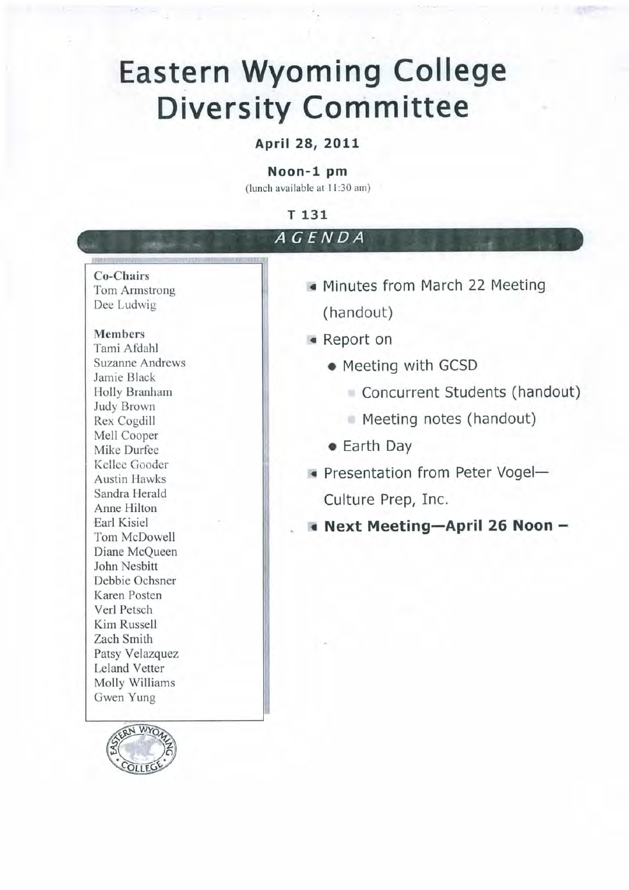# **Eastern Wyoming College Diversity Committee**

# April 28, 2011

#### Noon-1 pm

(lunch available at 11:30 am)

#### T 131 AGENDA Co-Chairs • Minutes from March 22 Meeting Tom Armstrong Dee Ludwig (handout) **Members** • Report on Tami Afdahl **Suzanne Andrews** • Meeting with GCSD Jamie Black Concurrent Students (handout) Holly Branham Judy Brown Meeting notes (handout) Rex Cogdill Mell Cooper • Earth Day Mike Durfee Kellee Gooder Presentation from Peter Vogel-**Austin Hawks** Sandra Herald Culture Prep, Inc. Anne Hilton Earl Kisiel Next Meeting-April 26 Noon-Tom McDowell Diane McQueen John Nesbitt Debbie Ochsner Karen Posten Verl Petsch Kim Russell Zach Smith Patsy Velazquez Leland Vetter Molly Williams Gwen Yung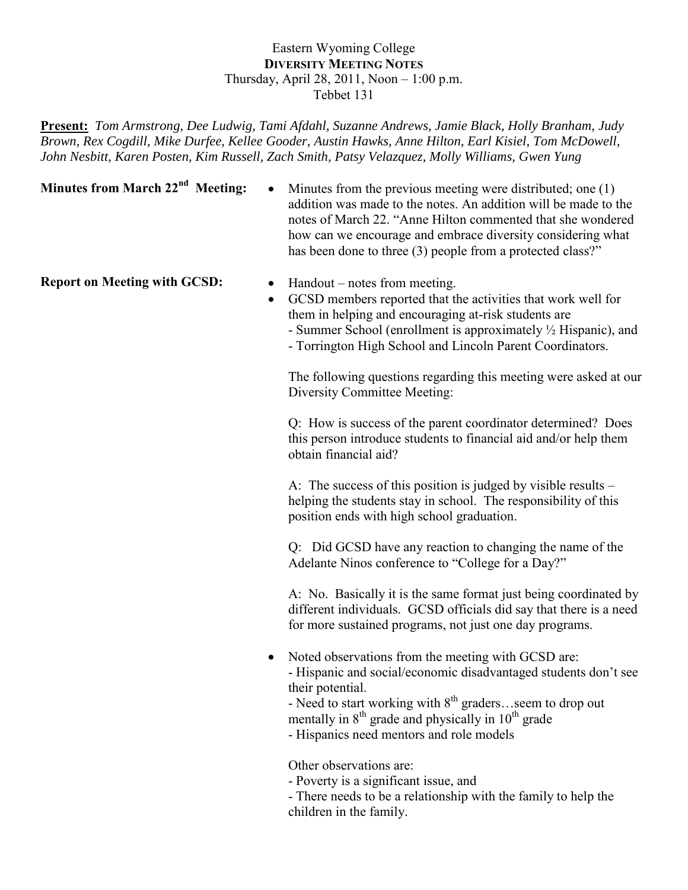### Eastern Wyoming College **DIVERSITY MEETING NOTES** Thursday, April 28, 2011, Noon – 1:00 p.m. Tebbet 131

**Present:** *Tom Armstrong, Dee Ludwig, Tami Afdahl, Suzanne Andrews, Jamie Black, Holly Branham, Judy Brown, Rex Cogdill, Mike Durfee, Kellee Gooder, Austin Hawks, Anne Hilton, Earl Kisiel, Tom McDowell, John Nesbitt, Karen Posten, Kim Russell, Zach Smith, Patsy Velazquez, Molly Williams, Gwen Yung*

**Minutes from March**  $22^{nd}$  **Meeting:**  $\bullet$  **Minutes from the previous meeting were distributed; one (1)** addition was made to the notes. An addition will be made to the notes of March 22. "Anne Hilton commented that she wondered how can we encourage and embrace diversity considering what has been done to three (3) people from a protected class?"

- **Report on Meeting with GCSD:** Handout notes from meeting.
	- GCSD members reported that the activities that work well for them in helping and encouraging at-risk students are - Summer School (enrollment is approximately ½ Hispanic), and
		-
		- Torrington High School and Lincoln Parent Coordinators.

The following questions regarding this meeting were asked at our Diversity Committee Meeting:

Q: How is success of the parent coordinator determined? Does this person introduce students to financial aid and/or help them obtain financial aid?

A: The success of this position is judged by visible results – helping the students stay in school. The responsibility of this position ends with high school graduation.

Q: Did GCSD have any reaction to changing the name of the Adelante Ninos conference to "College for a Day?"

A: No. Basically it is the same format just being coordinated by different individuals. GCSD officials did say that there is a need for more sustained programs, not just one day programs.

• Noted observations from the meeting with GCSD are: - Hispanic and social/economic disadvantaged students don't see their potential.

- Need to start working with  $8^{th}$  graders...seem to drop out mentally in  $8<sup>th</sup>$  grade and physically in  $10<sup>th</sup>$  grade

- Hispanics need mentors and role models

Other observations are:

- Poverty is a significant issue, and
- There needs to be a relationship with the family to help the children in the family.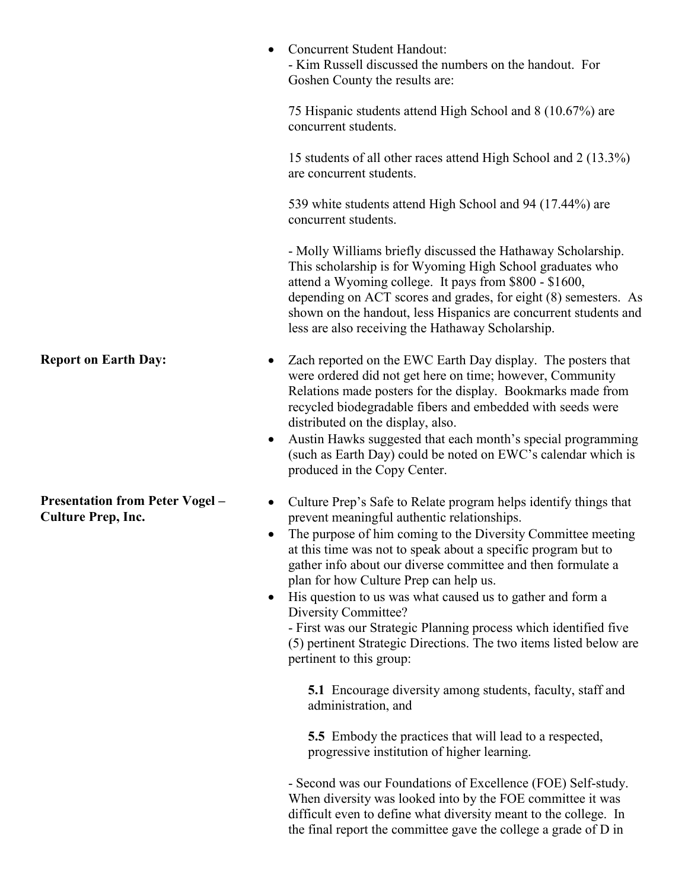|                                                                     | Concurrent Student Handout:<br>- Kim Russell discussed the numbers on the handout. For<br>Goshen County the results are:                                                                                                                                                                                                                                                                                                                                                                                                                                                                                               |
|---------------------------------------------------------------------|------------------------------------------------------------------------------------------------------------------------------------------------------------------------------------------------------------------------------------------------------------------------------------------------------------------------------------------------------------------------------------------------------------------------------------------------------------------------------------------------------------------------------------------------------------------------------------------------------------------------|
|                                                                     | 75 Hispanic students attend High School and 8 (10.67%) are<br>concurrent students.                                                                                                                                                                                                                                                                                                                                                                                                                                                                                                                                     |
|                                                                     | 15 students of all other races attend High School and 2 (13.3%)<br>are concurrent students.                                                                                                                                                                                                                                                                                                                                                                                                                                                                                                                            |
|                                                                     | 539 white students attend High School and 94 (17.44%) are<br>concurrent students.                                                                                                                                                                                                                                                                                                                                                                                                                                                                                                                                      |
|                                                                     | - Molly Williams briefly discussed the Hathaway Scholarship.<br>This scholarship is for Wyoming High School graduates who<br>attend a Wyoming college. It pays from \$800 - \$1600,<br>depending on ACT scores and grades, for eight (8) semesters. As<br>shown on the handout, less Hispanics are concurrent students and<br>less are also receiving the Hathaway Scholarship.                                                                                                                                                                                                                                        |
| <b>Report on Earth Day:</b>                                         | Zach reported on the EWC Earth Day display. The posters that<br>were ordered did not get here on time; however, Community<br>Relations made posters for the display. Bookmarks made from<br>recycled biodegradable fibers and embedded with seeds were<br>distributed on the display, also.<br>Austin Hawks suggested that each month's special programming<br>$\bullet$<br>(such as Earth Day) could be noted on EWC's calendar which is<br>produced in the Copy Center.                                                                                                                                              |
| <b>Presentation from Peter Vogel -</b><br><b>Culture Prep, Inc.</b> | Culture Prep's Safe to Relate program helps identify things that<br>prevent meaningful authentic relationships.<br>The purpose of him coming to the Diversity Committee meeting<br>at this time was not to speak about a specific program but to<br>gather info about our diverse committee and then formulate a<br>plan for how Culture Prep can help us.<br>His question to us was what caused us to gather and form a<br>Diversity Committee?<br>- First was our Strategic Planning process which identified five<br>(5) pertinent Strategic Directions. The two items listed below are<br>pertinent to this group: |
|                                                                     | <b>5.1</b> Encourage diversity among students, faculty, staff and<br>administration, and                                                                                                                                                                                                                                                                                                                                                                                                                                                                                                                               |
|                                                                     | <b>5.5</b> Embody the practices that will lead to a respected,                                                                                                                                                                                                                                                                                                                                                                                                                                                                                                                                                         |

progressive institution of higher learning.

- Second was our Foundations of Excellence (FOE) Self-study. When diversity was looked into by the FOE committee it was difficult even to define what diversity meant to the college. In the final report the committee gave the college a grade of D in